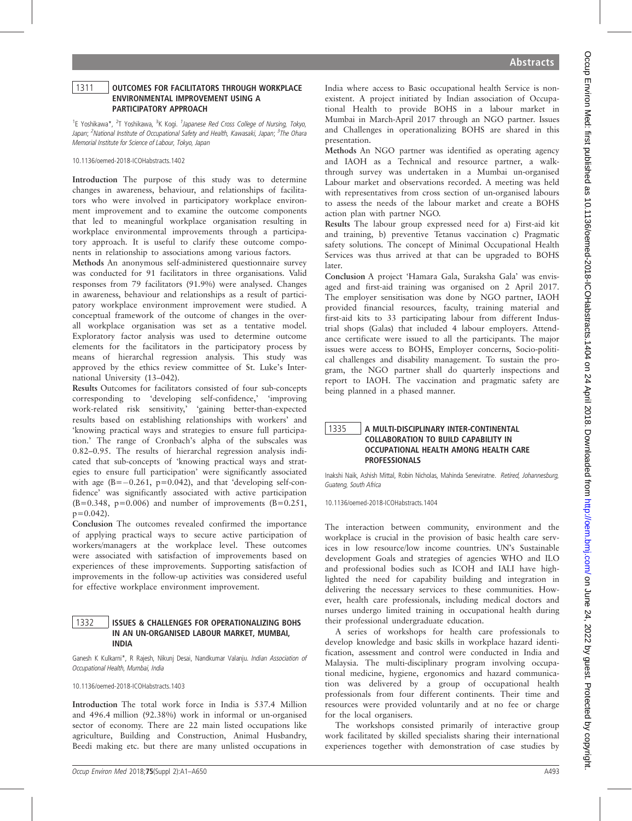#### 1311 | OUTCOMES FOR FACILITATORS THROUGH WORKPLACE ENVIRONMENTAL IMPROVEMENT USING A PARTICIPATORY APPROACH

<sup>1</sup>E Yoshikawa\*, <sup>2</sup>T Yoshikawa, <sup>3</sup>K Kogi. *<sup>1</sup> Japanese Red Cross College of Nursing, Tokyo*, Japan; <sup>2</sup>National Institute of Occupational Safety and Health, Kawasaki, Japan; <sup>3</sup>The Ohara Memorial Institute for Science of Labour, Tokyo, Japan

10.1136/oemed-2018-ICOHabstracts.1402

Introduction The purpose of this study was to determine changes in awareness, behaviour, and relationships of facilitators who were involved in participatory workplace environment improvement and to examine the outcome components that led to meaningful workplace organisation resulting in workplace environmental improvements through a participatory approach. It is useful to clarify these outcome components in relationship to associations among various factors.

Methods An anonymous self-administered questionnaire survey was conducted for 91 facilitators in three organisations. Valid responses from 79 facilitators (91.9%) were analysed. Changes in awareness, behaviour and relationships as a result of participatory workplace environment improvement were studied. A conceptual framework of the outcome of changes in the overall workplace organisation was set as a tentative model. Exploratory factor analysis was used to determine outcome elements for the facilitators in the participatory process by means of hierarchal regression analysis. This study was approved by the ethics review committee of St. Luke's International University (13–042).

Results Outcomes for facilitators consisted of four sub-concepts corresponding to 'developing self-confidence,' 'improving work-related risk sensitivity,' 'gaining better-than-expected results based on establishing relationships with workers' and 'knowing practical ways and strategies to ensure full participation.' The range of Cronbach's alpha of the subscales was 0.82–0.95. The results of hierarchal regression analysis indicated that sub-concepts of 'knowing practical ways and strategies to ensure full participation' were significantly associated with age  $(B=-0.261, p=0.042)$ , and that 'developing self-confidence' was significantly associated with active participation  $(B=0.348, p=0.006)$  and number of improvements  $(B=0.251, p=0.006)$  $p=0.042$ ).

Conclusion The outcomes revealed confirmed the importance of applying practical ways to secure active participation of workers/managers at the workplace level. These outcomes were associated with satisfaction of improvements based on experiences of these improvements. Supporting satisfaction of improvements in the follow-up activities was considered useful for effective workplace environment improvement.

# 1332 | ISSUES & CHALLENGES FOR OPERATIONALIZING BOHS IN AN UN-ORGANISED LABOUR MARKET, MUMBAI, INDIA

Ganesh K Kulkarni\*, R Rajesh, Nikunj Desai, Nandkumar Valanju. Indian Association of Occupational Health, Mumbai, India

10.1136/oemed-2018-ICOHabstracts.1403

Introduction The total work force in India is 537.4 Million and 496.4 million (92.38%) work in informal or un-organised sector of economy. There are 22 main listed occupations like agriculture, Building and Construction, Animal Husbandry, Beedi making etc. but there are many unlisted occupations in

India where access to Basic occupational health Service is nonexistent. A project initiated by Indian association of Occupational Health to provide BOHS in a labour market in Mumbai in March-April 2017 through an NGO partner. Issues and Challenges in operationalizing BOHS are shared in this presentation.

Methods An NGO partner was identified as operating agency and IAOH as a Technical and resource partner, a walkthrough survey was undertaken in a Mumbai un-organised Labour market and observations recorded. A meeting was held with representatives from cross section of un-organised labours to assess the needs of the labour market and create a BOHS action plan with partner NGO.

Results The labour group expressed need for a) First-aid kit and training, b) preventive Tetanus vaccination c) Pragmatic safety solutions. The concept of Minimal Occupational Health Services was thus arrived at that can be upgraded to BOHS later.

Conclusion A project 'Hamara Gala, Suraksha Gala' was envisaged and first-aid training was organised on 2 April 2017. The employer sensitisation was done by NGO partner, IAOH provided financial resources, faculty, training material and first-aid kits to 33 participating labour from different Industrial shops (Galas) that included 4 labour employers. Attendance certificate were issued to all the participants. The major issues were access to BOHS, Employer concerns, Socio-political challenges and disability management. To sustain the program, the NGO partner shall do quarterly inspections and report to IAOH. The vaccination and pragmatic safety are being planned in a phased manner.

# 1335 | A MULTI-DISCIPLINARY INTER-CONTINENTAL COLLABORATION TO BUILD CAPABILITY IN OCCUPATIONAL HEALTH AMONG HEALTH CARE PROFESSIONALS

Inakshi Naik, Ashish Mittal, Robin Nicholas, Mahinda Seneviratne. Retired, Johannesburg, Guateng, South Africa

10.1136/oemed-2018-ICOHabstracts.1404

The interaction between community, environment and the workplace is crucial in the provision of basic health care services in low resource/low income countries. UN's Sustainable development Goals and strategies of agencies WHO and ILO and professional bodies such as ICOH and IALI have highlighted the need for capability building and integration in delivering the necessary services to these communities. However, health care professionals, including medical doctors and nurses undergo limited training in occupational health during their professional undergraduate education.

A series of workshops for health care professionals to develop knowledge and basic skills in workplace hazard identification, assessment and control were conducted in India and Malaysia. The multi-disciplinary program involving occupational medicine, hygiene, ergonomics and hazard communication was delivered by a group of occupational health professionals from four different continents. Their time and resources were provided voluntarily and at no fee or charge for the local organisers.

The workshops consisted primarily of interactive group work facilitated by skilled specialists sharing their international experiences together with demonstration of case studies by